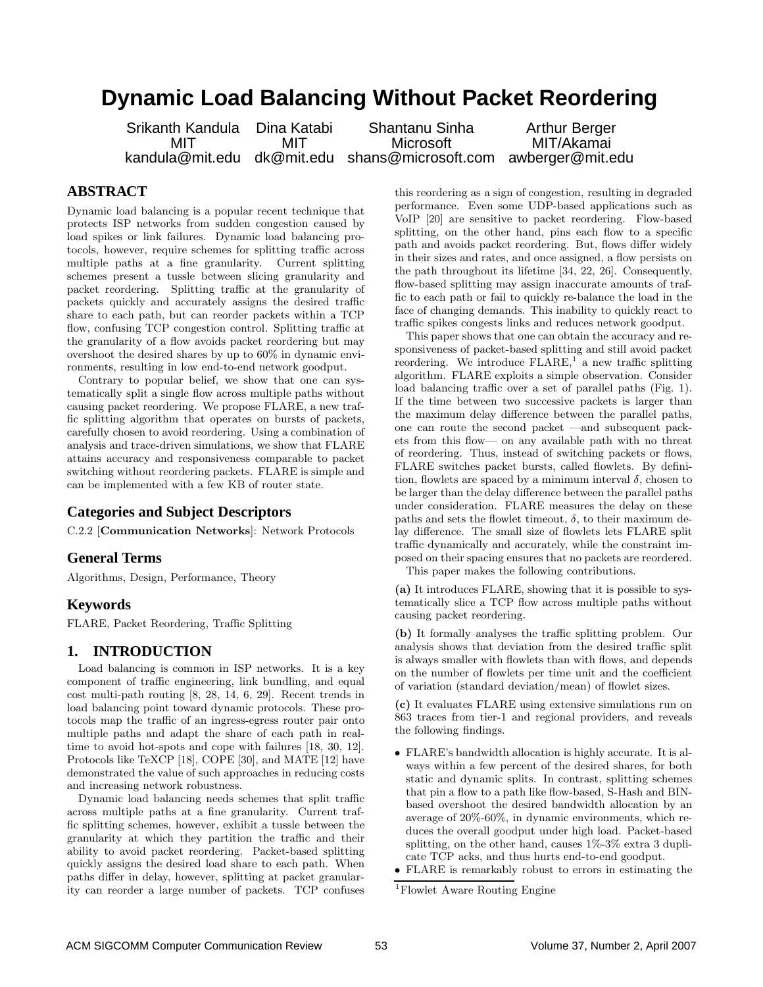# **Dynamic Load Balancing Without Packet Reordering**

Srikanth Kandula Dina Katabi Shantanu Sinha Arthur Berger MIT MIT MIT MIT MIT Microsoft MIT<br>.kandula@mit.edu dk@mit.edu shans@microsoft.com awberger@mit.e shans@microsoft.com awberger@mit.edu

# **ABSTRACT**

Dynamic load balancing is a popular recent technique that protects ISP networks from sudden congestion caused by load spikes or link failures. Dynamic load balancing protocols, however, require schemes for splitting traffic across multiple paths at a fine granularity. Current splitting schemes present a tussle between slicing granularity and packet reordering. Splitting traffic at the granularity of packets quickly and accurately assigns the desired traffic share to each path, but can reorder packets within a TCP flow, confusing TCP congestion control. Splitting traffic at the granularity of a flow avoids packet reordering but may overshoot the desired shares by up to 60% in dynamic environments, resulting in low end-to-end network goodput.

Contrary to popular belief, we show that one can systematically split a single flow across multiple paths without causing packet reordering. We propose FLARE, a new traffic splitting algorithm that operates on bursts of packets, carefully chosen to avoid reordering. Using a combination of analysis and trace-driven simulations, we show that FLARE attains accuracy and responsiveness comparable to packet switching without reordering packets. FLARE is simple and can be implemented with a few KB of router state.

#### **Categories and Subject Descriptors**

C.2.2 [Communication Networks]: Network Protocols

#### **General Terms**

Algorithms, Design, Performance, Theory

#### **Keywords**

FLARE, Packet Reordering, Traffic Splitting

## **1. INTRODUCTION**

Load balancing is common in ISP networks. It is a key component of traffic engineering, link bundling, and equal cost multi-path routing [8, 28, 14, 6, 29]. Recent trends in load balancing point toward dynamic protocols. These protocols map the traffic of an ingress-egress router pair onto multiple paths and adapt the share of each path in realtime to avoid hot-spots and cope with failures [18, 30, 12]. Protocols like TeXCP [18], COPE [30], and MATE [12] have demonstrated the value of such approaches in reducing costs and increasing network robustness.

Dynamic load balancing needs schemes that split traffic across multiple paths at a fine granularity. Current traffic splitting schemes, however, exhibit a tussle between the granularity at which they partition the traffic and their ability to avoid packet reordering. Packet-based splitting quickly assigns the desired load share to each path. When paths differ in delay, however, splitting at packet granularity can reorder a large number of packets. TCP confuses this reordering as a sign of congestion, resulting in degraded performance. Even some UDP-based applications such as VoIP [20] are sensitive to packet reordering. Flow-based splitting, on the other hand, pins each flow to a specific path and avoids packet reordering. But, flows differ widely in their sizes and rates, and once assigned, a flow persists on the path throughout its lifetime [34, 22, 26]. Consequently, flow-based splitting may assign inaccurate amounts of traffic to each path or fail to quickly re-balance the load in the face of changing demands. This inability to quickly react to traffic spikes congests links and reduces network goodput.

This paper shows that one can obtain the accuracy and responsiveness of packet-based splitting and still avoid packet reordering. We introduce  $FLARE$ ,<sup>1</sup> a new traffic splitting algorithm. FLARE exploits a simple observation. Consider load balancing traffic over a set of parallel paths (Fig. 1). If the time between two successive packets is larger than the maximum delay difference between the parallel paths, one can route the second packet —and subsequent packets from this flow— on any available path with no threat of reordering. Thus, instead of switching packets or flows, FLARE switches packet bursts, called flowlets. By definition, flowlets are spaced by a minimum interval  $\delta$ , chosen to be larger than the delay difference between the parallel paths under consideration. FLARE measures the delay on these paths and sets the flowlet timeout,  $\delta$ , to their maximum delay difference. The small size of flowlets lets FLARE split traffic dynamically and accurately, while the constraint imposed on their spacing ensures that no packets are reordered.

This paper makes the following contributions.

(a) It introduces FLARE, showing that it is possible to systematically slice a TCP flow across multiple paths without causing packet reordering.

(b) It formally analyses the traffic splitting problem. Our analysis shows that deviation from the desired traffic split is always smaller with flowlets than with flows, and depends on the number of flowlets per time unit and the coefficient of variation (standard deviation/mean) of flowlet sizes.

(c) It evaluates FLARE using extensive simulations run on 863 traces from tier-1 and regional providers, and reveals the following findings.

• FLARE's bandwidth allocation is highly accurate. It is always within a few percent of the desired shares, for both static and dynamic splits. In contrast, splitting schemes that pin a flow to a path like flow-based, S-Hash and BINbased overshoot the desired bandwidth allocation by an average of 20%-60%, in dynamic environments, which reduces the overall goodput under high load. Packet-based splitting, on the other hand, causes 1%-3% extra 3 duplicate TCP acks, and thus hurts end-to-end goodput.

<sup>•</sup> FLARE is remarkably robust to errors in estimating the

<sup>1</sup>Flowlet Aware Routing Engine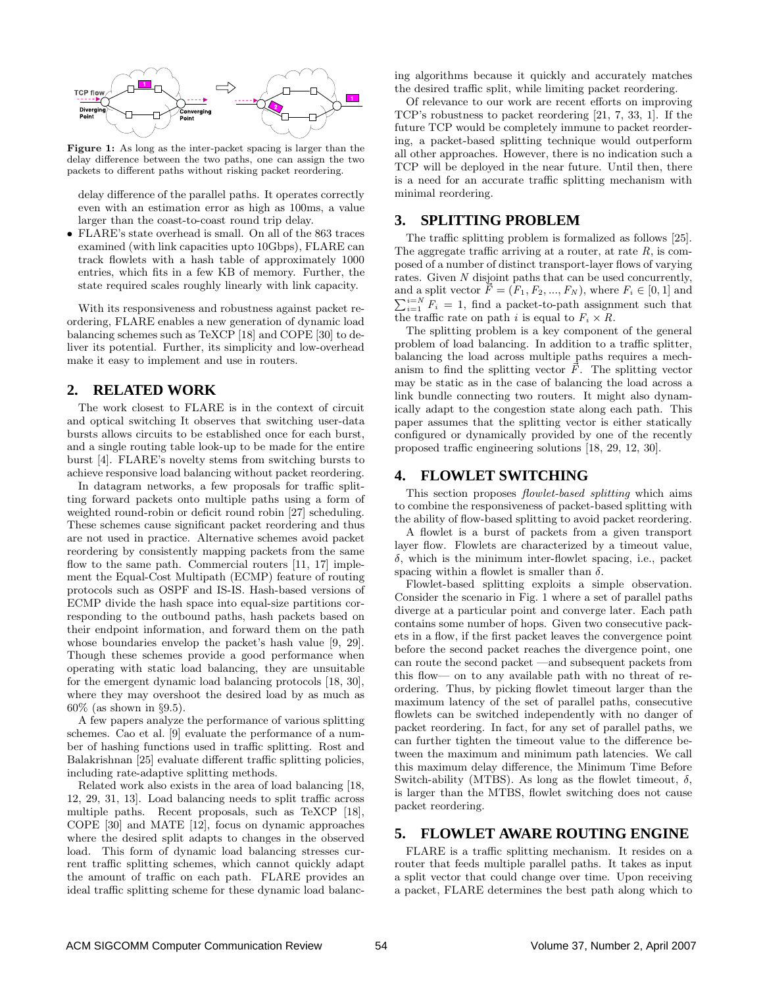

Figure 1: As long as the inter-packet spacing is larger than the delay difference between the two paths, one can assign the two packets to different paths without risking packet reordering.

delay difference of the parallel paths. It operates correctly even with an estimation error as high as 100ms, a value larger than the coast-to-coast round trip delay.

• FLARE's state overhead is small. On all of the 863 traces examined (with link capacities upto 10Gbps), FLARE can track flowlets with a hash table of approximately 1000 entries, which fits in a few KB of memory. Further, the state required scales roughly linearly with link capacity.

With its responsiveness and robustness against packet reordering, FLARE enables a new generation of dynamic load balancing schemes such as TeXCP [18] and COPE [30] to deliver its potential. Further, its simplicity and low-overhead make it easy to implement and use in routers.

## **2. RELATED WORK**

The work closest to FLARE is in the context of circuit and optical switching It observes that switching user-data bursts allows circuits to be established once for each burst, and a single routing table look-up to be made for the entire burst [4]. FLARE's novelty stems from switching bursts to achieve responsive load balancing without packet reordering.

In datagram networks, a few proposals for traffic splitting forward packets onto multiple paths using a form of weighted round-robin or deficit round robin [27] scheduling. These schemes cause significant packet reordering and thus are not used in practice. Alternative schemes avoid packet reordering by consistently mapping packets from the same flow to the same path. Commercial routers [11, 17] implement the Equal-Cost Multipath (ECMP) feature of routing protocols such as OSPF and IS-IS. Hash-based versions of ECMP divide the hash space into equal-size partitions corresponding to the outbound paths, hash packets based on their endpoint information, and forward them on the path whose boundaries envelop the packet's hash value [9, 29]. Though these schemes provide a good performance when operating with static load balancing, they are unsuitable for the emergent dynamic load balancing protocols [18, 30], where they may overshoot the desired load by as much as 60% (as shown in §9.5).

A few papers analyze the performance of various splitting schemes. Cao et al. [9] evaluate the performance of a number of hashing functions used in traffic splitting. Rost and Balakrishnan [25] evaluate different traffic splitting policies, including rate-adaptive splitting methods.

Related work also exists in the area of load balancing [18, 12, 29, 31, 13]. Load balancing needs to split traffic across multiple paths. Recent proposals, such as TeXCP [18], COPE [30] and MATE [12], focus on dynamic approaches where the desired split adapts to changes in the observed load. This form of dynamic load balancing stresses current traffic splitting schemes, which cannot quickly adapt the amount of traffic on each path. FLARE provides an ideal traffic splitting scheme for these dynamic load balancing algorithms because it quickly and accurately matches the desired traffic split, while limiting packet reordering.

Of relevance to our work are recent efforts on improving TCP's robustness to packet reordering [21, 7, 33, 1]. If the future TCP would be completely immune to packet reordering, a packet-based splitting technique would outperform all other approaches. However, there is no indication such a TCP will be deployed in the near future. Until then, there is a need for an accurate traffic splitting mechanism with minimal reordering.

## **3. SPLITTING PROBLEM**

The traffic splitting problem is formalized as follows [25]. The aggregate traffic arriving at a router, at rate  $R$ , is composed of a number of distinct transport-layer flows of varying rates. Given N disjoint paths that can be used concurrently, and a split vector  $\vec{F} = (F_1, F_2, ..., F_N)$ , where  $F_i \in [0, 1]$  and  $\sum_{i=1}^{i=N} F_i = 1$ , find a packet-to-path assignment such that the traffic rate on path i is equal to  $F_i \times R$ .

The splitting problem is a key component of the general problem of load balancing. In addition to a traffic splitter, balancing the load across multiple paths requires a mechanism to find the splitting vector  $\vec{F}$ . The splitting vector may be static as in the case of balancing the load across a link bundle connecting two routers. It might also dynamically adapt to the congestion state along each path. This paper assumes that the splitting vector is either statically configured or dynamically provided by one of the recently proposed traffic engineering solutions [18, 29, 12, 30].

#### **4. FLOWLET SWITCHING**

This section proposes *flowlet-based splitting* which aims to combine the responsiveness of packet-based splitting with the ability of flow-based splitting to avoid packet reordering.

A flowlet is a burst of packets from a given transport layer flow. Flowlets are characterized by a timeout value, δ, which is the minimum inter-flowlet spacing, i.e., packet spacing within a flowlet is smaller than  $\delta$ .

Flowlet-based splitting exploits a simple observation. Consider the scenario in Fig. 1 where a set of parallel paths diverge at a particular point and converge later. Each path contains some number of hops. Given two consecutive packets in a flow, if the first packet leaves the convergence point before the second packet reaches the divergence point, one can route the second packet —and subsequent packets from this flow— on to any available path with no threat of reordering. Thus, by picking flowlet timeout larger than the maximum latency of the set of parallel paths, consecutive flowlets can be switched independently with no danger of packet reordering. In fact, for any set of parallel paths, we can further tighten the timeout value to the difference between the maximum and minimum path latencies. We call this maximum delay difference, the Minimum Time Before Switch-ability (MTBS). As long as the flowlet timeout,  $\delta$ , is larger than the MTBS, flowlet switching does not cause packet reordering.

## **5. FLOWLET AWARE ROUTING ENGINE**

FLARE is a traffic splitting mechanism. It resides on a router that feeds multiple parallel paths. It takes as input a split vector that could change over time. Upon receiving a packet, FLARE determines the best path along which to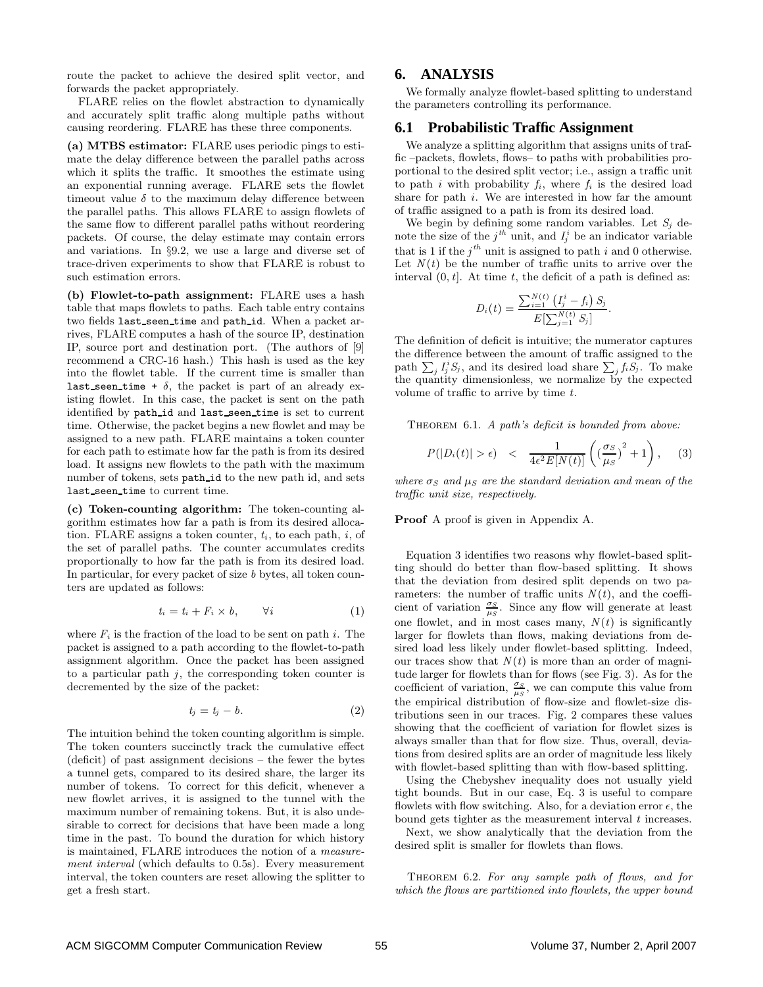route the packet to achieve the desired split vector, and forwards the packet appropriately.

FLARE relies on the flowlet abstraction to dynamically and accurately split traffic along multiple paths without causing reordering. FLARE has these three components.

(a) MTBS estimator: FLARE uses periodic pings to estimate the delay difference between the parallel paths across which it splits the traffic. It smoothes the estimate using an exponential running average. FLARE sets the flowlet timeout value  $\delta$  to the maximum delay difference between the parallel paths. This allows FLARE to assign flowlets of the same flow to different parallel paths without reordering packets. Of course, the delay estimate may contain errors and variations. In §9.2, we use a large and diverse set of trace-driven experiments to show that FLARE is robust to such estimation errors.

(b) Flowlet-to-path assignment: FLARE uses a hash table that maps flowlets to paths. Each table entry contains two fields last seen time and path id. When a packet arrives, FLARE computes a hash of the source IP, destination IP, source port and destination port. (The authors of [9] recommend a CRC-16 hash.) This hash is used as the key into the flowlet table. If the current time is smaller than last seen time +  $\delta$ , the packet is part of an already existing flowlet. In this case, the packet is sent on the path identified by path id and last seen time is set to current time. Otherwise, the packet begins a new flowlet and may be assigned to a new path. FLARE maintains a token counter for each path to estimate how far the path is from its desired load. It assigns new flowlets to the path with the maximum number of tokens, sets path id to the new path id, and sets last\_seen\_time to current time.

(c) Token-counting algorithm: The token-counting algorithm estimates how far a path is from its desired allocation. FLARE assigns a token counter,  $t_i$ , to each path, i, of the set of parallel paths. The counter accumulates credits proportionally to how far the path is from its desired load. In particular, for every packet of size  $b$  bytes, all token counters are updated as follows:

$$
t_i = t_i + F_i \times b, \qquad \forall i \tag{1}
$$

where  $F_i$  is the fraction of the load to be sent on path i. The packet is assigned to a path according to the flowlet-to-path assignment algorithm. Once the packet has been assigned to a particular path  $j$ , the corresponding token counter is decremented by the size of the packet:

$$
t_j = t_j - b. \tag{2}
$$

The intuition behind the token counting algorithm is simple. The token counters succinctly track the cumulative effect (deficit) of past assignment decisions – the fewer the bytes a tunnel gets, compared to its desired share, the larger its number of tokens. To correct for this deficit, whenever a new flowlet arrives, it is assigned to the tunnel with the maximum number of remaining tokens. But, it is also undesirable to correct for decisions that have been made a long time in the past. To bound the duration for which history is maintained, FLARE introduces the notion of a measurement interval (which defaults to 0.5s). Every measurement interval, the token counters are reset allowing the splitter to get a fresh start.

## **6. ANALYSIS**

We formally analyze flowlet-based splitting to understand the parameters controlling its performance.

#### **6.1 Probabilistic Traffic Assignment**

We analyze a splitting algorithm that assigns units of traffic –packets, flowlets, flows– to paths with probabilities proportional to the desired split vector; i.e., assign a traffic unit to path i with probability  $f_i$ , where  $f_i$  is the desired load share for path  $i$ . We are interested in how far the amount of traffic assigned to a path is from its desired load.

We begin by defining some random variables. Let  $S_i$  denote the size of the  $j<sup>th</sup>$  unit, and  $I_j^i$  be an indicator variable that is 1 if the  $j<sup>th</sup>$  unit is assigned to path i and 0 otherwise. Let  $N(t)$  be the number of traffic units to arrive over the interval  $(0, t]$ . At time t, the deficit of a path is defined as:

$$
D_i(t) = \frac{\sum_{i=1}^{N(t)} (I_j^i - f_i) S_j}{E[\sum_{j=1}^{N(t)} S_j]}.
$$

The definition of deficit is intuitive; the numerator captures the difference between the amount of traffic assigned to the path  $\sum_{j} I_j^i S_j$ , and its desired load share  $\sum_j f_i S_j$ . To make the quantity dimensionless, we normalize by the expected volume of traffic to arrive by time t.

THEOREM 6.1. A path's deficit is bounded from above:

$$
P(|D_i(t)| > \epsilon) < \frac{1}{4\epsilon^2 E[N(t)]} \left( \left(\frac{\sigma_S}{\mu_S}\right)^2 + 1 \right), \quad (3)
$$

where  $\sigma_S$  and  $\mu_S$  are the standard deviation and mean of the traffic unit size, respectively.

#### Proof A proof is given in Appendix A.

Equation 3 identifies two reasons why flowlet-based splitting should do better than flow-based splitting. It shows that the deviation from desired split depends on two parameters: the number of traffic units  $N(t)$ , and the coefficient of variation  $\frac{\sigma_S}{\mu_S}$ . Since any flow will generate at least one flowlet, and in most cases many,  $N(t)$  is significantly larger for flowlets than flows, making deviations from desired load less likely under flowlet-based splitting. Indeed, our traces show that  $N(t)$  is more than an order of magnitude larger for flowlets than for flows (see Fig. 3). As for the coefficient of variation,  $\frac{\sigma_S}{\mu_S}$ , we can compute this value from the empirical distribution of flow-size and flowlet-size distributions seen in our traces. Fig. 2 compares these values showing that the coefficient of variation for flowlet sizes is always smaller than that for flow size. Thus, overall, deviations from desired splits are an order of magnitude less likely with flowlet-based splitting than with flow-based splitting.

Using the Chebyshev inequality does not usually yield tight bounds. But in our case, Eq. 3 is useful to compare flowlets with flow switching. Also, for a deviation error  $\epsilon$ , the bound gets tighter as the measurement interval  $t$  increases.

Next, we show analytically that the deviation from the desired split is smaller for flowlets than flows.

THEOREM 6.2. For any sample path of flows, and for which the flows are partitioned into flowlets, the upper bound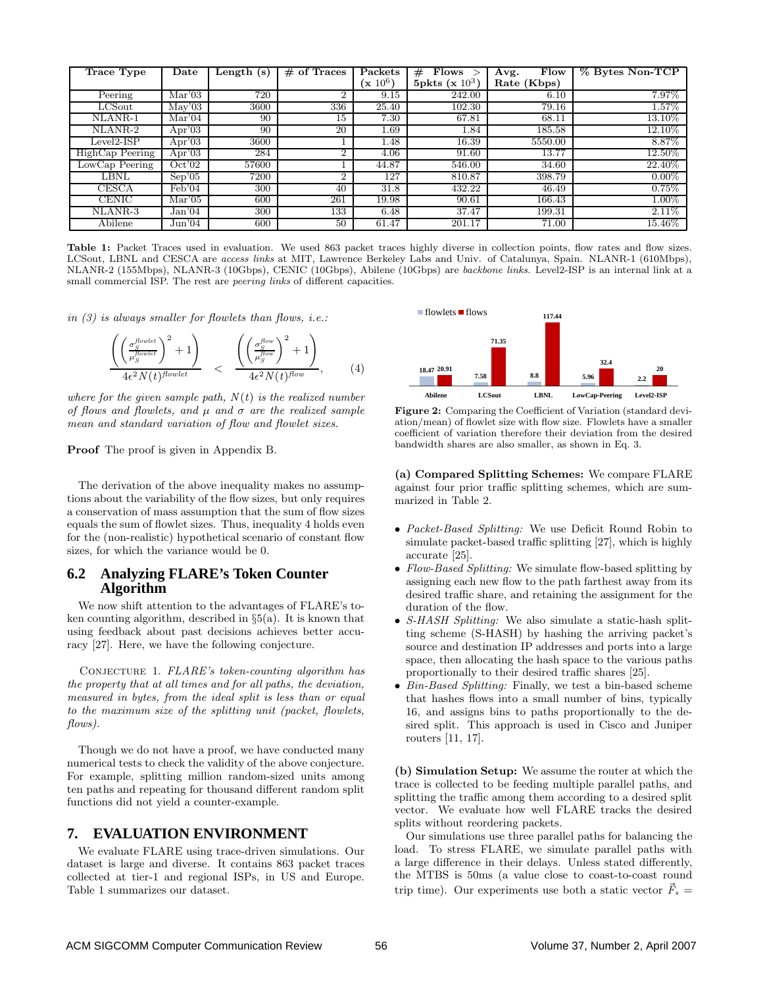| <b>Trace Type</b> | $\rm{\textbf{Date}}$       | Length $(s)$ | of Traces<br># | Packets    | Flows<br>#        | Flow<br>Avg. | % Bytes Non-TCP |
|-------------------|----------------------------|--------------|----------------|------------|-------------------|--------------|-----------------|
|                   |                            |              |                | $(x 10^6)$ | 5pkts (x $10^3$ ) | Rate (Kbps)  |                 |
| Peering           | Mar'03                     | 720          | 2              | 9.15       | 242.00            | 6.10         | 7.97%           |
| $_{\rm LCSout}$   | $\overline{\text{May'}03}$ | 3600         | 336            | 25.40      | 102.30            | 79.16        | $1.57\%$        |
| NLANR-1           | Mar'04                     | 90           | 15             | 7.30       | 67.81             | 68.11        | 13.10%          |
| NLANR-2           | Apr'03                     | 90           | 20             | 1.69       | 1.84              | 185.58       | 12.10%          |
| $Level2-ISP$      | Apr'03                     | 3600         |                | 1.48       | 16.39             | 5550.00      | 8.87%           |
| HighCap Peering   | Apr'03                     | 284          | 2              | 4.06       | 91.60             | 13.77        | $12.50\%$       |
| LowCap Peering    | Oct'02                     | 57600        |                | 44.87      | 546.00            | 34.60        | 22.40\%         |
| LBNL              | Sep'05                     | 7200         | $\Omega$       | 127        | 810.87            | 398.79       | $0.00\%$        |
| CESCA             | Feb'04                     | 300          | 40             | 31.8       | 432.22            | 46.49        | 0.75%           |
| <b>CENIC</b>      | Mar'05                     | 600          | 261            | 19.98      | 90.61             | 166.43       | $1.00\%$        |
| NLANR-3           | Jan04                      | 300          | 133            | 6.48       | 37.47             | 199.31       | $2.11\%$        |
| Abilene           | Jun'04                     | 600          | 50             | 61.47      | 201.17            | 71.00        | 15.46%          |

Table 1: Packet Traces used in evaluation. We used 863 packet traces highly diverse in collection points, flow rates and flow sizes. LCSout, LBNL and CESCA are access links at MIT, Lawrence Berkeley Labs and Univ. of Catalunya, Spain. NLANR-1 (610Mbps), NLANR-2 (155Mbps), NLANR-3 (10Gbps), CENIC (10Gbps), Abilene (10Gbps) are backbone links. Level2-ISP is an internal link at a small commercial ISP. The rest are *peering links* of different capacities.

in  $(3)$  is always smaller for flowlets than flows, *i.e.*:

$$
\frac{\left(\left(\frac{\sigma_S^{flowlet}}{\mu_S^{flowlet}}\right)^2 + 1\right)}{4\epsilon^2 N(t)^{flowlet}} \quad < \quad \frac{\left(\left(\frac{\sigma_S^{flow}}{\mu_S^{flow}}\right)^2 + 1\right)}{4\epsilon^2 N(t)^{flow}},\tag{4}
$$

where for the given sample path,  $N(t)$  is the realized number of flows and flowlets, and  $\mu$  and  $\sigma$  are the realized sample mean and standard variation of flow and flowlet sizes.

Proof The proof is given in Appendix B.

The derivation of the above inequality makes no assumptions about the variability of the flow sizes, but only requires a conservation of mass assumption that the sum of flow sizes equals the sum of flowlet sizes. Thus, inequality 4 holds even for the (non-realistic) hypothetical scenario of constant flow sizes, for which the variance would be 0.

## **6.2 Analyzing FLARE's Token Counter Algorithm**

We now shift attention to the advantages of FLARE's token counting algorithm, described in  $\S5(a)$ . It is known that using feedback about past decisions achieves better accuracy [27]. Here, we have the following conjecture.

CONJECTURE 1.  $FLARE's$  token-counting algorithm has the property that at all times and for all paths, the deviation, measured in bytes, from the ideal split is less than or equal to the maximum size of the splitting unit (packet, flowlets, flows).

Though we do not have a proof, we have conducted many numerical tests to check the validity of the above conjecture. For example, splitting million random-sized units among ten paths and repeating for thousand different random split functions did not yield a counter-example.

#### **7. EVALUATION ENVIRONMENT**

We evaluate FLARE using trace-driven simulations. Our dataset is large and diverse. It contains 863 packet traces collected at tier-1 and regional ISPs, in US and Europe. Table 1 summarizes our dataset.



Figure 2: Comparing the Coefficient of Variation (standard deviation/mean) of flowlet size with flow size. Flowlets have a smaller coefficient of variation therefore their deviation from the desired bandwidth shares are also smaller, as shown in Eq. 3.

(a) Compared Splitting Schemes: We compare FLARE against four prior traffic splitting schemes, which are summarized in Table 2.

- Packet-Based Splitting: We use Deficit Round Robin to simulate packet-based traffic splitting [27], which is highly accurate [25].
- Flow-Based Splitting: We simulate flow-based splitting by assigning each new flow to the path farthest away from its desired traffic share, and retaining the assignment for the duration of the flow.
- S-HASH Splitting: We also simulate a static-hash splitting scheme (S-HASH) by hashing the arriving packet's source and destination IP addresses and ports into a large space, then allocating the hash space to the various paths proportionally to their desired traffic shares [25].
- Bin-Based Splitting: Finally, we test a bin-based scheme that hashes flows into a small number of bins, typically 16, and assigns bins to paths proportionally to the desired split. This approach is used in Cisco and Juniper routers [11, 17].

(b) Simulation Setup: We assume the router at which the trace is collected to be feeding multiple parallel paths, and splitting the traffic among them according to a desired split vector. We evaluate how well FLARE tracks the desired splits without reordering packets.

Our simulations use three parallel paths for balancing the load. To stress FLARE, we simulate parallel paths with a large difference in their delays. Unless stated differently, the MTBS is 50ms (a value close to coast-to-coast round trip time). Our experiments use both a static vector  $\vec{F}_s =$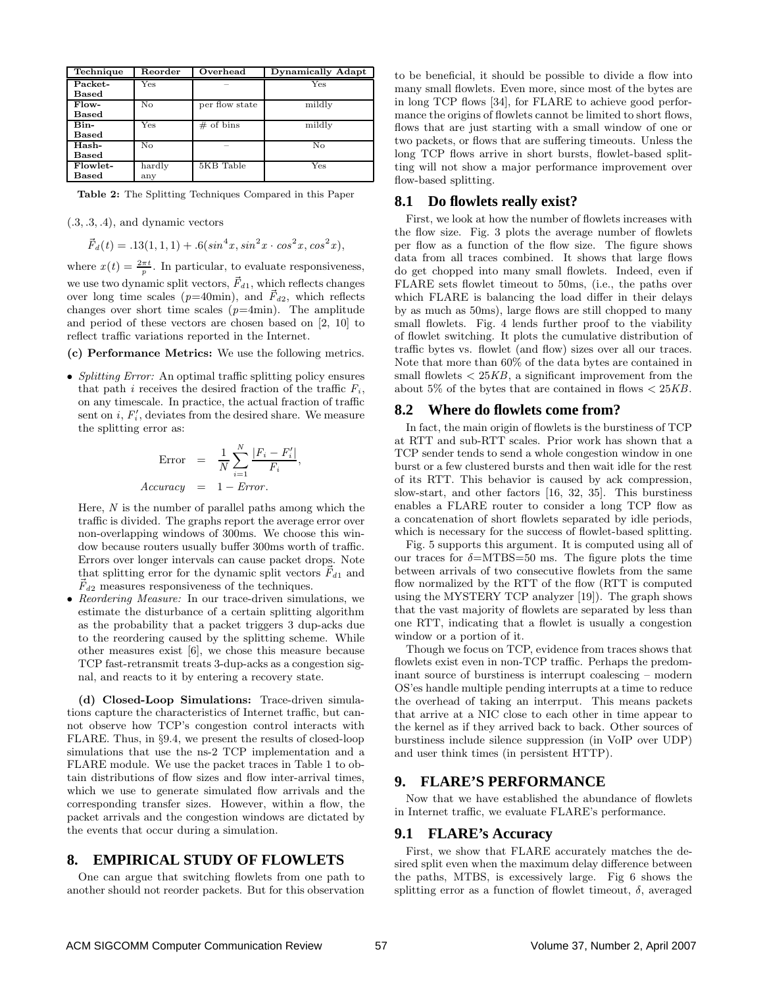| Technique      | Reorder | Overhead       | <b>Dynamically Adapt</b> |
|----------------|---------|----------------|--------------------------|
| Packet-        | Yes     |                | Yes                      |
| Based          |         |                |                          |
| Flow-          | No      | per flow state | mildly                   |
| Based          |         |                |                          |
| Bin-           | Yes     | $#$ of bins    | mildly                   |
| Based          |         |                |                          |
| Hash-          | No      |                | No                       |
| Based          |         |                |                          |
| Flowlet-       | hardly  | 5KB Table      | $_{\rm Yes}$             |
| $_{\rm Based}$ | any     |                |                          |

Table 2: The Splitting Techniques Compared in this Paper

 $(.3, .3, .4)$ , and dynamic vectors

 $\vec{F}_d(t) = .13(1, 1, 1) + .6(sin^4x, sin^2x \cdot cos^2x, cos^2x),$ 

where  $x(t) = \frac{2\pi t}{p}$ . In particular, to evaluate responsiveness, we use two dynamic split vectors,  $\vec{F}_{d1}$ , which reflects changes over long time scales ( $p=40$ min), and  $\vec{F}_{d2}$ , which reflects changes over short time scales  $(p=4\text{min})$ . The amplitude and period of these vectors are chosen based on [2, 10] to reflect traffic variations reported in the Internet.

(c) Performance Metrics: We use the following metrics.

• Splitting Error: An optimal traffic splitting policy ensures that path i receives the desired fraction of the traffic  $F_i$ , on any timescale. In practice, the actual fraction of traffic sent on  $i, F'_i$ , deviates from the desired share. We measure the splitting error as:

$$
\begin{array}{rcl}\n\text{Error} & = & \frac{1}{N} \sum_{i=1}^{N} \frac{|F_i - F_i'|}{F_i}, \\
\text{Accuracy} & = & 1 - \text{Error}.\n\end{array}
$$

Here,  $N$  is the number of parallel paths among which the traffic is divided. The graphs report the average error over non-overlapping windows of 300ms. We choose this window because routers usually buffer 300ms worth of traffic. Errors over longer intervals can cause packet drops. Note that splitting error for the dynamic split vectors  $\vec{F}_{d1}$  and  $\dot{F}_{d2}$  measures responsiveness of the techniques.

• Reordering Measure: In our trace-driven simulations, we estimate the disturbance of a certain splitting algorithm as the probability that a packet triggers 3 dup-acks due to the reordering caused by the splitting scheme. While other measures exist [6], we chose this measure because TCP fast-retransmit treats 3-dup-acks as a congestion signal, and reacts to it by entering a recovery state.

(d) Closed-Loop Simulations: Trace-driven simulations capture the characteristics of Internet traffic, but cannot observe how TCP's congestion control interacts with FLARE. Thus, in §9.4, we present the results of closed-loop simulations that use the ns-2 TCP implementation and a FLARE module. We use the packet traces in Table 1 to obtain distributions of flow sizes and flow inter-arrival times, which we use to generate simulated flow arrivals and the corresponding transfer sizes. However, within a flow, the packet arrivals and the congestion windows are dictated by the events that occur during a simulation.

## **8. EMPIRICAL STUDY OF FLOWLETS**

One can argue that switching flowlets from one path to another should not reorder packets. But for this observation to be beneficial, it should be possible to divide a flow into many small flowlets. Even more, since most of the bytes are in long TCP flows [34], for FLARE to achieve good performance the origins of flowlets cannot be limited to short flows, flows that are just starting with a small window of one or two packets, or flows that are suffering timeouts. Unless the long TCP flows arrive in short bursts, flowlet-based splitting will not show a major performance improvement over flow-based splitting.

#### **8.1 Do flowlets really exist?**

First, we look at how the number of flowlets increases with the flow size. Fig. 3 plots the average number of flowlets per flow as a function of the flow size. The figure shows data from all traces combined. It shows that large flows do get chopped into many small flowlets. Indeed, even if FLARE sets flowlet timeout to 50ms, (i.e., the paths over which FLARE is balancing the load differ in their delays by as much as 50ms), large flows are still chopped to many small flowlets. Fig. 4 lends further proof to the viability of flowlet switching. It plots the cumulative distribution of traffic bytes vs. flowlet (and flow) sizes over all our traces. Note that more than 60% of the data bytes are contained in small flowlets  $\langle 25KB, a$  significant improvement from the about 5% of the bytes that are contained in flows  $\langle 25KB \rangle$ .

#### **8.2 Where do flowlets come from?**

In fact, the main origin of flowlets is the burstiness of TCP at RTT and sub-RTT scales. Prior work has shown that a TCP sender tends to send a whole congestion window in one burst or a few clustered bursts and then wait idle for the rest of its RTT. This behavior is caused by ack compression, slow-start, and other factors [16, 32, 35]. This burstiness enables a FLARE router to consider a long TCP flow as a concatenation of short flowlets separated by idle periods, which is necessary for the success of flowlet-based splitting.

Fig. 5 supports this argument. It is computed using all of our traces for  $\delta$ =MTBS=50 ms. The figure plots the time between arrivals of two consecutive flowlets from the same flow normalized by the RTT of the flow (RTT is computed using the MYSTERY TCP analyzer [19]). The graph shows that the vast majority of flowlets are separated by less than one RTT, indicating that a flowlet is usually a congestion window or a portion of it.

Though we focus on TCP, evidence from traces shows that flowlets exist even in non-TCP traffic. Perhaps the predominant source of burstiness is interrupt coalescing – modern OS'es handle multiple pending interrupts at a time to reduce the overhead of taking an interrput. This means packets that arrive at a NIC close to each other in time appear to the kernel as if they arrived back to back. Other sources of burstiness include silence suppression (in VoIP over UDP) and user think times (in persistent HTTP).

#### **9. FLARE'S PERFORMANCE**

Now that we have established the abundance of flowlets in Internet traffic, we evaluate FLARE's performance.

#### **9.1 FLARE's Accuracy**

First, we show that FLARE accurately matches the desired split even when the maximum delay difference between the paths, MTBS, is excessively large. Fig 6 shows the splitting error as a function of flowlet timeout,  $\delta$ , averaged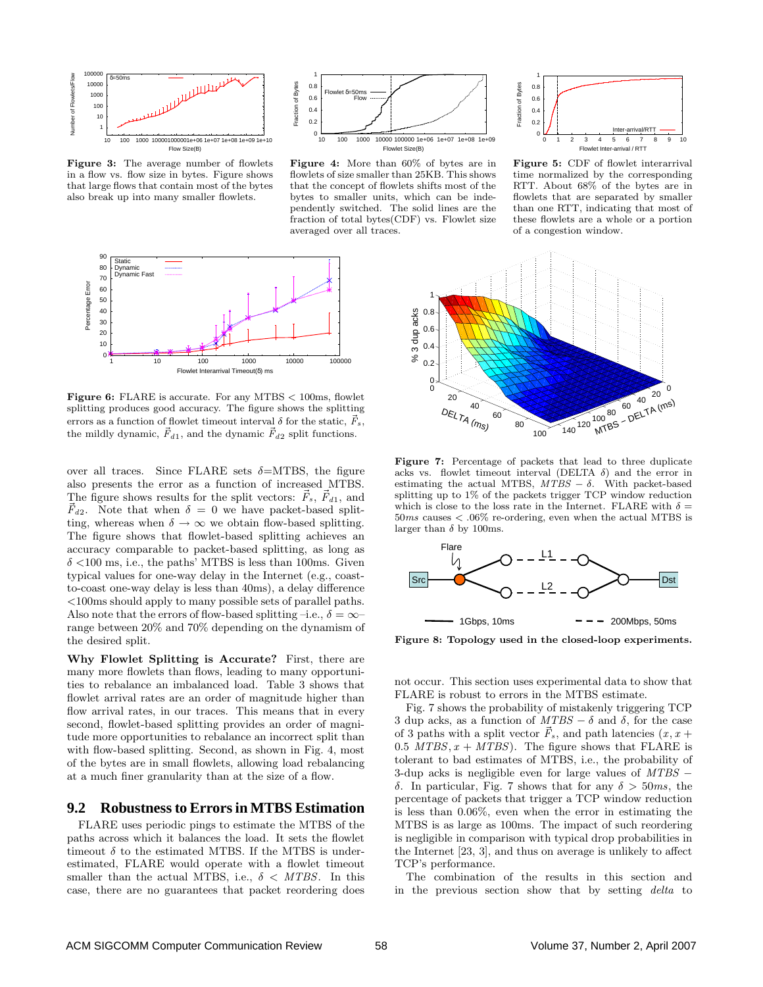

Figure 3: The average number of flowlets in a flow vs. flow size in bytes. Figure shows that large flows that contain most of the bytes also break up into many smaller flowlets.



Figure 4: More than 60% of bytes are in flowlets of size smaller than 25KB. This shows that the concept of flowlets shifts most of the bytes to smaller units, which can be independently switched. The solid lines are the fraction of total bytes(CDF) vs. Flowlet size averaged over all traces.



Figure 6: FLARE is accurate. For any MTBS  $<$  100ms, flowlet splitting produces good accuracy. The figure shows the splitting errors as a function of flowlet timeout interval  $\delta$  for the static,  $\vec{F}_{s},$ the mildly dynamic,  $\vec{F}_{d1}$ , and the dynamic  $\vec{F}_{d2}$  split functions.

over all traces. Since FLARE sets  $\delta = MTBS$ , the figure also presents the error as a function of increased MTBS. The figure shows results for the split vectors:  $\dot{F}_s$ ,  $\dot{F}_{d1}$ , and  $\vec{F}_{d2}$ . Note that when  $\delta = 0$  we have packet-based splitting, whereas when  $\delta \to \infty$  we obtain flow-based splitting. The figure shows that flowlet-based splitting achieves an accuracy comparable to packet-based splitting, as long as  $\delta$  <100 ms, i.e., the paths' MTBS is less than 100ms. Given typical values for one-way delay in the Internet (e.g., coastto-coast one-way delay is less than 40ms), a delay difference <100ms should apply to many possible sets of parallel paths. Also note that the errors of flow-based splitting –i.e.,  $\delta = \infty$ – range between 20% and 70% depending on the dynamism of the desired split.

Why Flowlet Splitting is Accurate? First, there are many more flowlets than flows, leading to many opportunities to rebalance an imbalanced load. Table 3 shows that flowlet arrival rates are an order of magnitude higher than flow arrival rates, in our traces. This means that in every second, flowlet-based splitting provides an order of magnitude more opportunities to rebalance an incorrect split than with flow-based splitting. Second, as shown in Fig. 4, most of the bytes are in small flowlets, allowing load rebalancing at a much finer granularity than at the size of a flow.

#### **9.2 Robustnessto Errorsin MTBS Estimation**

FLARE uses periodic pings to estimate the MTBS of the paths across which it balances the load. It sets the flowlet timeout  $\delta$  to the estimated MTBS. If the MTBS is underestimated, FLARE would operate with a flowlet timeout smaller than the actual MTBS, i.e.,  $\delta < MTBS$ . In this case, there are no guarantees that packet reordering does



Figure 5: CDF of flowlet interarrival time normalized by the corresponding RTT. About 68% of the bytes are in flowlets that are separated by smaller than one RTT, indicating that most of these flowlets are a whole or a portion of a congestion window.



Figure 7: Percentage of packets that lead to three duplicate acks vs. flowlet timeout interval (DELTA  $\delta$ ) and the error in estimating the actual MTBS,  $MTBS - \delta$ . With packet-based splitting up to 1% of the packets trigger TCP window reduction which is close to the loss rate in the Internet. FLARE with  $\delta=$  $50\,ms$  causes  $\lt$  .06% re-ordering, even when the actual MTBS is larger than  $\delta$  by 100ms.



Figure 8: Topology used in the closed-loop experiments.

not occur. This section uses experimental data to show that FLARE is robust to errors in the MTBS estimate.

Fig. 7 shows the probability of mistakenly triggering TCP 3 dup acks, as a function of  $MTBS - \delta$  and  $\delta$ , for the case of 3 paths with a split vector  $\vec{F}_s$ , and path latencies  $(x, x +$ 0.5  $MTBS, x + MTBS$ ). The figure shows that FLARE is tolerant to bad estimates of MTBS, i.e., the probability of 3-dup acks is negligible even for large values of MTBS − δ. In particular, Fig. 7 shows that for any δ > 50ms, the percentage of packets that trigger a TCP window reduction is less than 0.06%, even when the error in estimating the MTBS is as large as 100ms. The impact of such reordering is negligible in comparison with typical drop probabilities in the Internet [23, 3], and thus on average is unlikely to affect TCP's performance.

The combination of the results in this section and in the previous section show that by setting delta to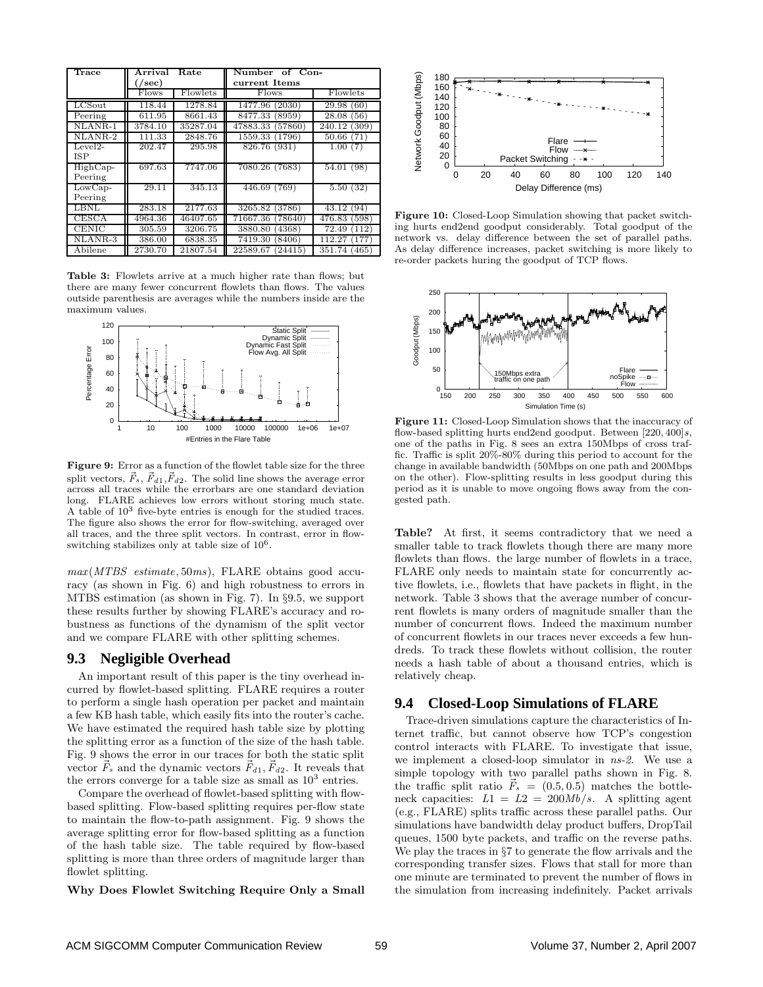| Trace                        | Arrival                         | Rate     | Number of Con-      |                 |  |
|------------------------------|---------------------------------|----------|---------------------|-----------------|--|
|                              | $\left( / \mathrm{sec} \right)$ |          | current Items       |                 |  |
|                              | <b>Flows</b>                    | Flowlets | Flows               | Flowlets        |  |
| LCSout                       | 118.44                          | 1278.84  | 1477.96<br>(2030)   | 29.98(60)       |  |
| Peering                      | 611.95                          | 8661.43  | 8477.33<br>(8959)   | 28.08<br>(56)   |  |
| NLANR-1                      | 3784.10                         | 35287.04 | 47883.33<br>(57860) | 240.12<br>(309) |  |
| $\overline{\text{NLANR-2}}$  | 111.33                          | 2848.76  | 1559.33<br>(1796)   | 50.66<br>(71)   |  |
| $Level2-$                    | 202.47                          | 295.98   | 826.76 (931)        | 1.00(7)         |  |
| <b>ISP</b>                   |                                 |          |                     |                 |  |
| $HighCap-$                   | 697.63                          | 7747.06  | 7080.26 (7683)      | 54.01 (98)      |  |
| Peering                      |                                 |          |                     |                 |  |
| $\overline{\text{LowCap}}$   | 29.11                           | 345.13   | 446.69(769)         | 5.50(32)        |  |
| Peering                      |                                 |          |                     |                 |  |
| LBNL                         | 283.18                          | 2177.63  | 3265.82<br>(3786)   | 43.12<br>(94)   |  |
| CESCA                        | 4964.36                         | 46407.65 | 71667.36<br>(78640) | 476.83<br>(598) |  |
| <b>CENIC</b>                 | 305.59                          | 3206.75  | (4368)<br>3880.80   | 72.49<br>(112)  |  |
| $\overline{\text{NL}}$ ANR-3 | 386.00                          | 6838.35  | 7419.30<br>(8406)   | 112.27<br>(177) |  |
| Abilene                      | 2730.70                         | 21807.54 | 22589.67<br>(24415) | 351.74<br>(465) |  |

Table 3: Flowlets arrive at a much higher rate than flows; but there are many fewer concurrent flowlets than flows. The values outside parenthesis are averages while the numbers inside are the maximum values.



Figure 9: Error as a function of the flowlet table size for the three split vectors,  $\vec{F}_s$ ,  $\vec{F}_{d1}$ ,  $\vec{F}_{d2}$ . The solid line shows the average error across all traces while the errorbars are one standard deviation long. FLARE achieves low errors without storing much state. A table of  $10^3$  five-byte entries is enough for the studied traces. The figure also shows the error for flow-switching, averaged over all traces, and the three split vectors. In contrast, error in flowswitching stabilizes only at table size of  $10^6$ .

 $max(MTBS, estimate, 50ms)$ , FLARE obtains good accuracy (as shown in Fig. 6) and high robustness to errors in MTBS estimation (as shown in Fig. 7). In §9.5, we support these results further by showing FLARE's accuracy and robustness as functions of the dynamism of the split vector and we compare FLARE with other splitting schemes.

#### **9.3 Negligible Overhead**

An important result of this paper is the tiny overhead incurred by flowlet-based splitting. FLARE requires a router to perform a single hash operation per packet and maintain a few KB hash table, which easily fits into the router's cache. We have estimated the required hash table size by plotting the splitting error as a function of the size of the hash table. Fig. 9 shows the error in our traces for both the static split vector  $\vec{F}_s$  and the dynamic vectors  $\vec{F}_{d1}$ ,  $\vec{F}_{d2}$ . It reveals that the errors converge for a table size as small as  $10^3$  entries.

Compare the overhead of flowlet-based splitting with flowbased splitting. Flow-based splitting requires per-flow state to maintain the flow-to-path assignment. Fig. 9 shows the average splitting error for flow-based splitting as a function of the hash table size. The table required by flow-based splitting is more than three orders of magnitude larger than flowlet splitting.

Why Does Flowlet Switching Require Only a Small



Figure 10: Closed-Loop Simulation showing that packet switching hurts end2end goodput considerably. Total goodput of the network vs. delay difference between the set of parallel paths. As delay difference increases, packet switching is more likely to re-order packets huring the goodput of TCP flows.



Figure 11: Closed-Loop Simulation shows that the inaccuracy of flow-based splitting hurts end2end goodput. Between  $[220, 400]s$ , one of the paths in Fig. 8 sees an extra 150Mbps of cross traffic. Traffic is split 20%-80% during this period to account for the change in available bandwidth (50Mbps on one path and 200Mbps on the other). Flow-splitting results in less goodput during this period as it is unable to move ongoing flows away from the congested path.

Table? At first, it seems contradictory that we need a smaller table to track flowlets though there are many more flowlets than flows. the large number of flowlets in a trace, FLARE only needs to maintain state for concurrently active flowlets, i.e., flowlets that have packets in flight, in the network. Table 3 shows that the average number of concurrent flowlets is many orders of magnitude smaller than the number of concurrent flows. Indeed the maximum number of concurrent flowlets in our traces never exceeds a few hundreds. To track these flowlets without collision, the router needs a hash table of about a thousand entries, which is relatively cheap.

#### **9.4 Closed-Loop Simulations of FLARE**

Trace-driven simulations capture the characteristics of Internet traffic, but cannot observe how TCP's congestion control interacts with FLARE. To investigate that issue, we implement a closed-loop simulator in ns-2. We use a simple topology with two parallel paths shown in Fig. 8. the traffic split ratio  $\dot{F}_s = (0.5, 0.5)$  matches the bottleneck capacities:  $L1 = L2 = 200Mb/s$ . A splitting agent (e.g., FLARE) splits traffic across these parallel paths. Our simulations have bandwidth delay product buffers, DropTail queues, 1500 byte packets, and traffic on the reverse paths. We play the traces in §7 to generate the flow arrivals and the corresponding transfer sizes. Flows that stall for more than one minute are terminated to prevent the number of flows in the simulation from increasing indefinitely. Packet arrivals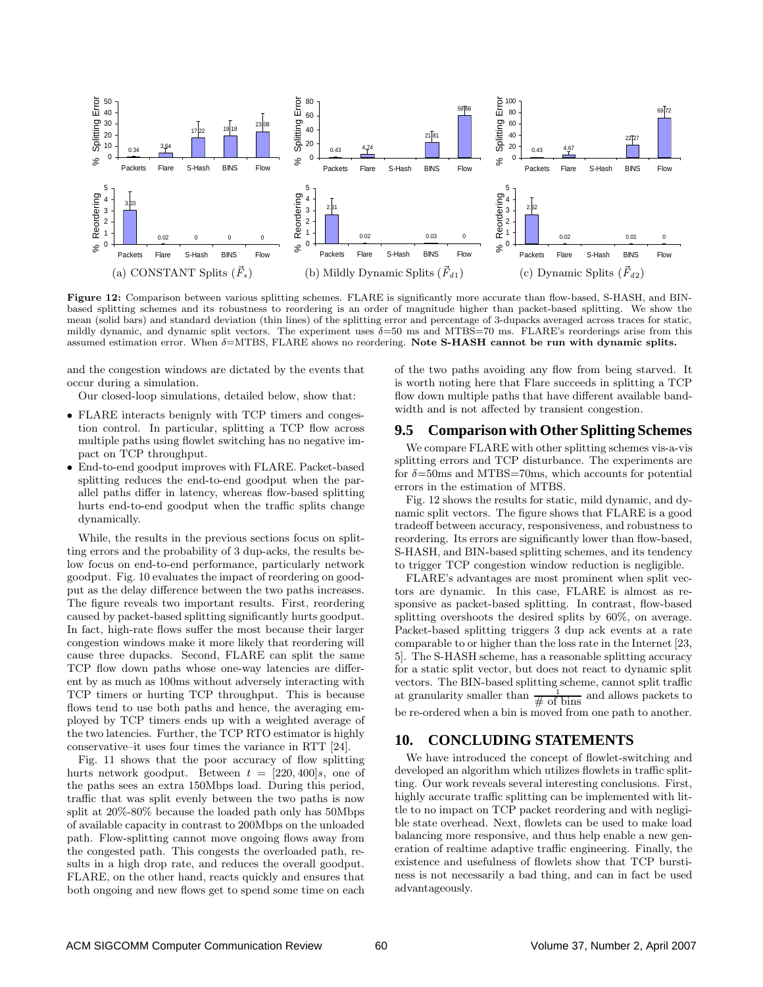

Figure 12: Comparison between various splitting schemes. FLARE is significantly more accurate than flow-based, S-HASH, and BINbased splitting schemes and its robustness to reordering is an order of magnitude higher than packet-based splitting. We show the mean (solid bars) and standard deviation (thin lines) of the splitting error and percentage of 3-dupacks averaged across traces for static, mildly dynamic, and dynamic split vectors. The experiment uses  $\delta = 50$  ms and MTBS=70 ms. FLARE's reorderings arise from this assumed estimation error. When  $\delta$ =MTBS, FLARE shows no reordering. Note S-HASH cannot be run with dynamic splits.

and the congestion windows are dictated by the events that occur during a simulation.

Our closed-loop simulations, detailed below, show that:

- FLARE interacts benignly with TCP timers and congestion control. In particular, splitting a TCP flow across multiple paths using flowlet switching has no negative impact on TCP throughput.
- End-to-end goodput improves with FLARE. Packet-based splitting reduces the end-to-end goodput when the parallel paths differ in latency, whereas flow-based splitting hurts end-to-end goodput when the traffic splits change dynamically.

While, the results in the previous sections focus on splitting errors and the probability of 3 dup-acks, the results below focus on end-to-end performance, particularly network goodput. Fig. 10 evaluates the impact of reordering on goodput as the delay difference between the two paths increases. The figure reveals two important results. First, reordering caused by packet-based splitting significantly hurts goodput. In fact, high-rate flows suffer the most because their larger congestion windows make it more likely that reordering will cause three dupacks. Second, FLARE can split the same TCP flow down paths whose one-way latencies are different by as much as 100ms without adversely interacting with TCP timers or hurting TCP throughput. This is because flows tend to use both paths and hence, the averaging employed by TCP timers ends up with a weighted average of the two latencies. Further, the TCP RTO estimator is highly conservative–it uses four times the variance in RTT [24].

Fig. 11 shows that the poor accuracy of flow splitting hurts network goodput. Between  $t = [220, 400]s$ , one of the paths sees an extra 150Mbps load. During this period, traffic that was split evenly between the two paths is now split at 20%-80% because the loaded path only has 50Mbps of available capacity in contrast to 200Mbps on the unloaded path. Flow-splitting cannot move ongoing flows away from the congested path. This congests the overloaded path, results in a high drop rate, and reduces the overall goodput. FLARE, on the other hand, reacts quickly and ensures that both ongoing and new flows get to spend some time on each of the two paths avoiding any flow from being starved. It is worth noting here that Flare succeeds in splitting a TCP flow down multiple paths that have different available bandwidth and is not affected by transient congestion.

#### **9.5 Comparison with Other Splitting Schemes**

We compare FLARE with other splitting schemes vis-a-vis splitting errors and TCP disturbance. The experiments are for  $\delta$ =50ms and MTBS=70ms, which accounts for potential errors in the estimation of MTBS.

Fig. 12 shows the results for static, mild dynamic, and dynamic split vectors. The figure shows that FLARE is a good tradeoff between accuracy, responsiveness, and robustness to reordering. Its errors are significantly lower than flow-based, S-HASH, and BIN-based splitting schemes, and its tendency to trigger TCP congestion window reduction is negligible.

FLARE's advantages are most prominent when split vectors are dynamic. In this case, FLARE is almost as responsive as packet-based splitting. In contrast, flow-based splitting overshoots the desired splits by 60%, on average. Packet-based splitting triggers 3 dup ack events at a rate comparable to or higher than the loss rate in the Internet [23, 5]. The S-HASH scheme, has a reasonable splitting accuracy for a static split vector, but does not react to dynamic split vectors. The BIN-based splitting scheme, cannot split traffic at granularity smaller than  $\frac{1}{\text{# of bins}}$  and allows packets to be re-ordered when a bin is moved from one path to another.

## **10. CONCLUDING STATEMENTS**

We have introduced the concept of flowlet-switching and developed an algorithm which utilizes flowlets in traffic splitting. Our work reveals several interesting conclusions. First, highly accurate traffic splitting can be implemented with little to no impact on TCP packet reordering and with negligible state overhead. Next, flowlets can be used to make load balancing more responsive, and thus help enable a new generation of realtime adaptive traffic engineering. Finally, the existence and usefulness of flowlets show that TCP burstiness is not necessarily a bad thing, and can in fact be used advantageously.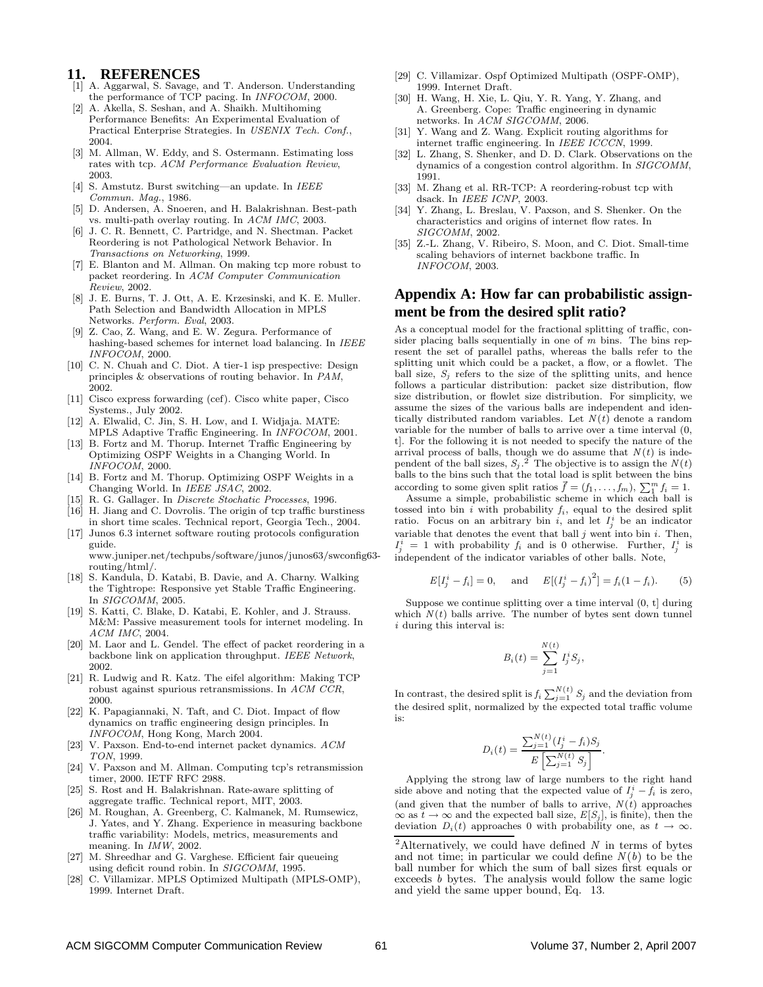#### **11. REFERENCES**

- [1] A. Aggarwal, S. Savage, and T. Anderson. Understanding the performance of TCP pacing. In INFOCOM, 2000.
- [2] A. Akella, S. Seshan, and A. Shaikh. Multihoming Performance Benefits: An Experimental Evaluation of Practical Enterprise Strategies. In USENIX Tech. Conf., 2004.
- [3] M. Allman, W. Eddy, and S. Ostermann. Estimating loss rates with tcp. ACM Performance Evaluation Review, 2003.
- [4] S. Amstutz. Burst switching—an update. In IEEE Commun. Mag., 1986.
- [5] D. Andersen, A. Snoeren, and H. Balakrishnan. Best-path vs. multi-path overlay routing. In ACM IMC, 2003.
- [6] J. C. R. Bennett, C. Partridge, and N. Shectman. Packet Reordering is not Pathological Network Behavior. In Transactions on Networking, 1999.
- [7] E. Blanton and M. Allman. On making tcp more robust to packet reordering. In ACM Computer Communication Review, 2002.
- [8] J. E. Burns, T. J. Ott, A. E. Krzesinski, and K. E. Muller. Path Selection and Bandwidth Allocation in MPLS Networks. Perform. Eval, 2003.
- [9] Z. Cao, Z. Wang, and E. W. Zegura. Performance of hashing-based schemes for internet load balancing. In IEEE INFOCOM, 2000.
- [10] C. N. Chuah and C. Diot. A tier-1 isp prespective: Design principles & observations of routing behavior. In PAM, 2002.
- [11] Cisco express forwarding (cef). Cisco white paper, Cisco Systems., July 2002.
- [12] A. Elwalid, C. Jin, S. H. Low, and I. Widjaja. MATE: MPLS Adaptive Traffic Engineering. In INFOCOM, 2001.
- [13] B. Fortz and M. Thorup. Internet Traffic Engineering by Optimizing OSPF Weights in a Changing World. In INFOCOM, 2000.
- [14] B. Fortz and M. Thorup. Optimizing OSPF Weights in a Changing World. In IEEE JSAC, 2002.
- [15] R. G. Gallager. In *Discrete Stochatic Processes*, 1996.
- [16] H. Jiang and C. Dovrolis. The origin of tcp traffic burstiness in short time scales. Technical report, Georgia Tech., 2004.
- [17] Junos 6.3 internet software routing protocols configuration guide. www.juniper.net/techpubs/software/junos/junos63/swconfig63-

routing/html/. [18] S. Kandula, D. Katabi, B. Davie, and A. Charny. Walking

- the Tightrope: Responsive yet Stable Traffic Engineering. In SIGCOMM, 2005.
- [19] S. Katti, C. Blake, D. Katabi, E. Kohler, and J. Strauss. M&M: Passive measurement tools for internet modeling. In ACM IMC, 2004.
- [20] M. Laor and L. Gendel. The effect of packet reordering in a backbone link on application throughput. IEEE Network, 2002.
- [21] R. Ludwig and R. Katz. The eifel algorithm: Making TCP robust against spurious retransmissions. In ACM CCR, 2000.
- [22] K. Papagiannaki, N. Taft, and C. Diot. Impact of flow dynamics on traffic engineering design principles. In INFOCOM, Hong Kong, March 2004.
- [23] V. Paxson. End-to-end internet packet dynamics. ACM TON, 1999.
- [24] V. Paxson and M. Allman. Computing tcp's retransmission timer, 2000. IETF RFC 2988.
- [25] S. Rost and H. Balakrishnan. Rate-aware splitting of aggregate traffic. Technical report, MIT, 2003.
- [26] M. Roughan, A. Greenberg, C. Kalmanek, M. Rumsewicz, J. Yates, and Y. Zhang. Experience in measuring backbone traffic variability: Models, metrics, measurements and meaning. In IMW, 2002.
- [27] M. Shreedhar and G. Varghese. Efficient fair queueing using deficit round robin. In SIGCOMM, 1995.
- [28] C. Villamizar. MPLS Optimized Multipath (MPLS-OMP), 1999. Internet Draft.
- [29] C. Villamizar. Ospf Optimized Multipath (OSPF-OMP), 1999. Internet Draft.
- [30] H. Wang, H. Xie, L. Qiu, Y. R. Yang, Y. Zhang, and A. Greenberg. Cope: Traffic engineering in dynamic networks. In ACM SIGCOMM, 2006.
- [31] Y. Wang and Z. Wang. Explicit routing algorithms for internet traffic engineering. In IEEE ICCCN, 1999.
- [32] L. Zhang, S. Shenker, and D. D. Clark. Observations on the dynamics of a congestion control algorithm. In SIGCOMM, 1991.
- [33] M. Zhang et al. RR-TCP: A reordering-robust tcp with dsack. In IEEE ICNP, 2003.
- [34] Y. Zhang, L. Breslau, V. Paxson, and S. Shenker. On the characteristics and origins of internet flow rates. In SIGCOMM, 2002.
- [35] Z.-L. Zhang, V. Ribeiro, S. Moon, and C. Diot. Small-time scaling behaviors of internet backbone traffic. In INFOCOM, 2003.

## **Appendix A: How far can probabilistic assignment be from the desired split ratio?**

As a conceptual model for the fractional splitting of traffic, consider placing balls sequentially in one of  $m$  bins. The bins represent the set of parallel paths, whereas the balls refer to the splitting unit which could be a packet, a flow, or a flowlet. The ball size,  $S_i$  refers to the size of the splitting units, and hence follows a particular distribution: packet size distribution, flow size distribution, or flowlet size distribution. For simplicity, we assume the sizes of the various balls are independent and identically distributed random variables. Let  $N(t)$  denote a random variable for the number of balls to arrive over a time interval (0, t]. For the following it is not needed to specify the nature of the arrival process of balls, though we do assume that  $N(t)$  is independent of the ball sizes,  $S_j$ .<sup>2</sup> The objective is to assign the  $N(t)$ balls to the bins such that the total load is split between the bins according to some given split ratios  $\vec{f} = (f_1, \ldots, f_m), \sum_{i=1}^{m} f_i = 1.$ 

Assume a simple, probabilistic scheme in which each ball is tossed into bin i with probability  $f_i$ , equal to the desired split ratio. Focus on an arbitrary bin i, and let  $I_j^i$  be an indicator variable that denotes the event that ball  $j$  went into bin  $i$ . Then,  $I_j^i = 1$  with probability  $f_i$  and is 0 otherwise. Further,  $I_j^i$  is independent of the indicator variables of other balls. Note,

$$
E[I_j^i - f_i] = 0
$$
, and  $E[(I_j^i - f_i)^2] = f_i(1 - f_i)$ . (5)

Suppose we continue splitting over a time interval (0, t] during which  $N(t)$  balls arrive. The number of bytes sent down tunnel  $i$  during this interval is:

$$
B_i(t) = \sum_{j=1}^{N(t)} I_j^i S_j,
$$

In contrast, the desired split is  $f_i \sum_{j=1}^{N(t)} S_j$  and the deviation from the desired split, normalized by the expected total traffic volume is:

$$
D_i(t) = \frac{\sum_{j=1}^{N(t)} (I_j^i - f_i) S_j}{E\left[\sum_{j=1}^{N(t)} S_j\right]}.
$$

Applying the strong law of large numbers to the right hand side above and noting that the expected value of  $I_j^i - \bar{f}_i$  is zero, (and given that the number of balls to arrive,  $N(t)$  approaches  $\infty$  as  $t \to \infty$  and the expected ball size,  $E[S_j]$ , is finite), then the deviation  $D_i(t)$  approaches 0 with probability one, as  $t \to \infty$ .

<sup>&</sup>lt;sup>2</sup>Alternatively, we could have defined  $N$  in terms of bytes and not time; in particular we could define  $N(b)$  to be the ball number for which the sum of ball sizes first equals or exceeds b bytes. The analysis would follow the same logic and yield the same upper bound, Eq. 13.